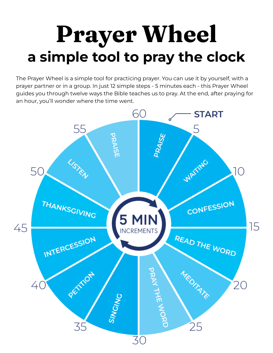## **Prayer Wheel a simple tool to pray the clock**

The Prayer Wheel is a simple tool for practicing prayer. You can use it by yourself, with a prayer partner or in a group. In just 12 simple steps - 5 minutes each - this Prayer Wheel guides you through twelve ways the Bible teaches us to pray. At the end, after praying for an hour, you'll wonder where the time went.